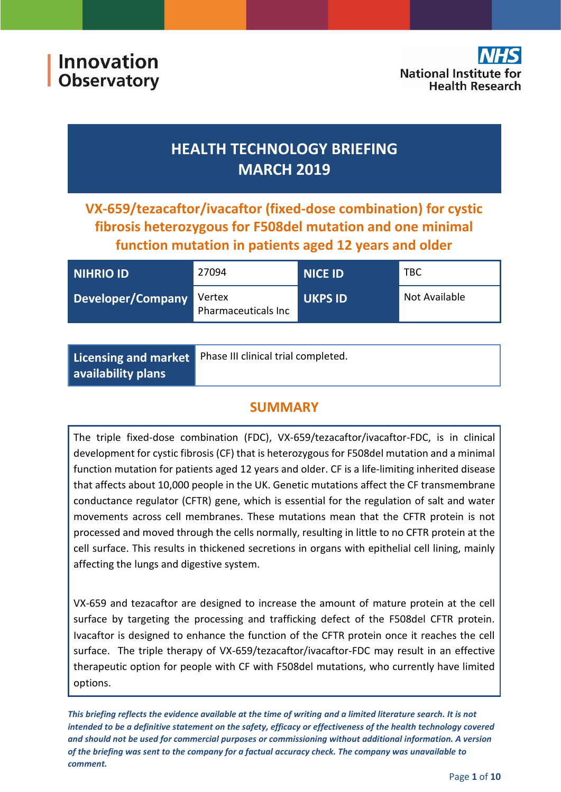Innovation **Observatory** 

# **HEALTH TECHNOLOGY BRIEFING MARCH 2019**

**VX-659/tezacaftor/ivacaftor (fixed-dose combination) for cystic fibrosis heterozygous for F508del mutation and one minimal function mutation in patients aged 12 years and older**

| NIHRIO ID         | 27094                         | <b>NICE ID</b> | <b>TBC</b>    |
|-------------------|-------------------------------|----------------|---------------|
| Developer/Company | Vertex<br>Pharmaceuticals Inc | <b>UKPS ID</b> | Not Available |

|                           | Licensing and market Phase III clinical trial completed. |
|---------------------------|----------------------------------------------------------|
| $\mid$ availability plans |                                                          |

# **SUMMARY**

The triple fixed-dose combination (FDC), VX-659/tezacaftor/ivacaftor-FDC, is in clinical development for cystic fibrosis (CF) that is heterozygous for F508del mutation and a minimal function mutation for patients aged 12 years and older. CF is a life-limiting inherited disease that affects about 10,000 people in the UK. Genetic mutations affect the CF transmembrane conductance regulator (CFTR) gene, which is essential for the regulation of salt and water movements across cell membranes. These mutations mean that the CFTR protein is not processed and moved through the cells normally, resulting in little to no CFTR protein at the cell surface. This results in thickened secretions in organs with epithelial cell lining, mainly affecting the lungs and digestive system.

VX-659 and tezacaftor are designed to increase the amount of mature protein at the cell surface by targeting the processing and trafficking defect of the F508del CFTR protein. Ivacaftor is designed to enhance the function of the CFTR protein once it reaches the cell surface. The triple therapy of VX-659/tezacaftor/ivacaftor-FDC may result in an effective therapeutic option for people with CF with F508del mutations, who currently have limited options.

*This briefing reflects the evidence available at the time of writing and a limited literature search. It is not intended to be a definitive statement on the safety, efficacy or effectiveness of the health technology covered and should not be used for commercial purposes or commissioning without additional information. A version of the briefing was sent to the company for a factual accuracy check. The company was unavailable to comment.*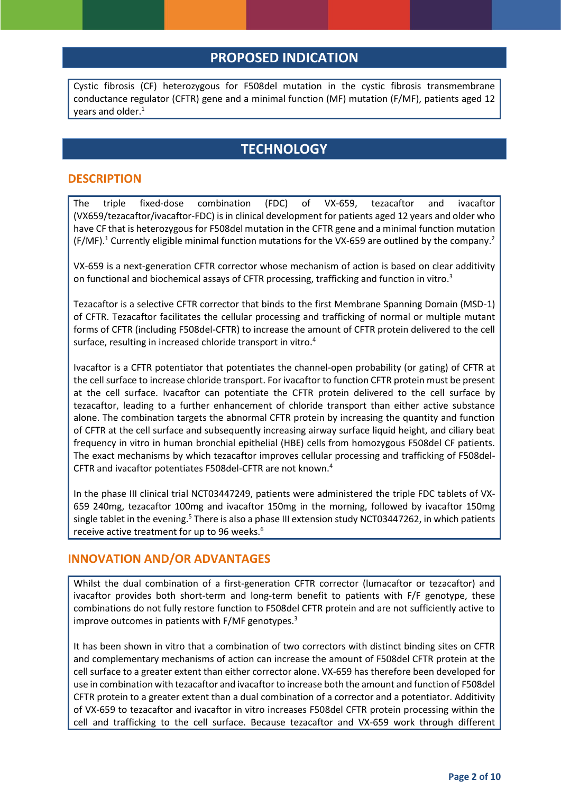# **PROPOSED INDICATION**

Cystic fibrosis (CF) heterozygous for F508del mutation in the cystic fibrosis transmembrane conductance regulator (CFTR) gene and a minimal function (MF) mutation (F/MF), patients aged 12 years and older. 1

### **TECHNOLOGY**

#### **DESCRIPTION**

The triple fixed-dose combination (FDC) of VX-659, tezacaftor and ivacaftor (VX659/tezacaftor/ivacaftor-FDC) is in clinical development for patients aged 12 years and older who have CF that is heterozygous for F508del mutation in the CFTR gene and a minimal function mutation (F/MF).<sup>1</sup> Currently eligible minimal function mutations for the VX-659 are outlined by the company.<sup>2</sup>

VX-659 is a next-generation CFTR corrector whose mechanism of action is based on clear additivity on functional and biochemical assays of CFTR processing, trafficking and function in vitro.<sup>3</sup>

Tezacaftor is a selective CFTR corrector that binds to the first Membrane Spanning Domain (MSD-1) of CFTR. Tezacaftor facilitates the cellular processing and trafficking of normal or multiple mutant forms of CFTR (including F508del-CFTR) to increase the amount of CFTR protein delivered to the cell surface, resulting in increased chloride transport in vitro.<sup>4</sup>

Ivacaftor is a CFTR potentiator that potentiates the channel-open probability (or gating) of CFTR at the cell surface to increase chloride transport. For ivacaftor to function CFTR protein must be present at the cell surface. Ivacaftor can potentiate the CFTR protein delivered to the cell surface by tezacaftor, leading to a further enhancement of chloride transport than either active substance alone. The combination targets the abnormal CFTR protein by increasing the quantity and function of CFTR at the cell surface and subsequently increasing airway surface liquid height, and ciliary beat frequency in vitro in human bronchial epithelial (HBE) cells from homozygous F508del CF patients. The exact mechanisms by which tezacaftor improves cellular processing and trafficking of F508del-CFTR and ivacaftor potentiates F508del-CFTR are not known.<sup>4</sup>

In the phase III clinical trial NCT03447249, patients were administered the triple FDC tablets of VX-659 240mg, tezacaftor 100mg and ivacaftor 150mg in the morning, followed by ivacaftor 150mg single tablet in the evening.<sup>5</sup> There is also a phase III extension study NCT03447262, in which patients receive active treatment for up to 96 weeks.<sup>6</sup>

### **INNOVATION AND/OR ADVANTAGES**

Whilst the dual combination of a first-generation CFTR corrector (lumacaftor or tezacaftor) and ivacaftor provides both short-term and long-term benefit to patients with F/F genotype, these combinations do not fully restore function to F508del CFTR protein and are not sufficiently active to improve outcomes in patients with F/MF genotypes.<sup>3</sup>

It has been shown in vitro that a combination of two correctors with distinct binding sites on CFTR and complementary mechanisms of action can increase the amount of F508del CFTR protein at the cell surface to a greater extent than either corrector alone. VX-659 has therefore been developed for use in combination with tezacaftor and ivacaftor to increase both the amount and function of F508del CFTR protein to a greater extent than a dual combination of a corrector and a potentiator. Additivity of VX-659 to tezacaftor and ivacaftor in vitro increases F508del CFTR protein processing within the cell and trafficking to the cell surface. Because tezacaftor and VX-659 work through different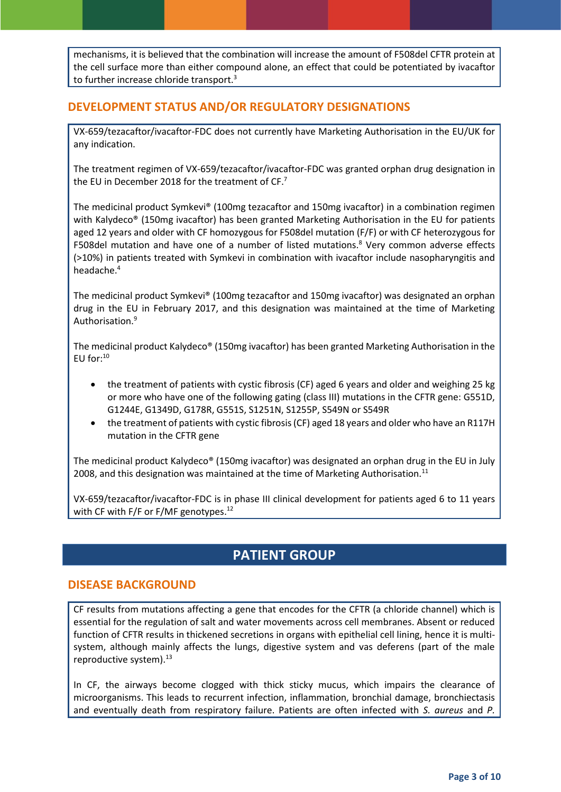mechanisms, it is believed that the combination will increase the amount of F508del CFTR protein at the cell surface more than either compound alone, an effect that could be potentiated by ivacaftor to further increase chloride transport.<sup>3</sup>

### **DEVELOPMENT STATUS AND/OR REGULATORY DESIGNATIONS**

VX-659/tezacaftor/ivacaftor-FDC does not currently have Marketing Authorisation in the EU/UK for any indication.

The treatment regimen of VX-659/tezacaftor/ivacaftor-FDC was granted orphan drug designation in the EU in December 2018 for the treatment of CF.<sup>7</sup>

The medicinal product Symkevi® (100mg tezacaftor and 150mg ivacaftor) in a combination regimen with Kalydeco® (150mg ivacaftor) has been granted Marketing Authorisation in the EU for patients aged 12 years and older with CF homozygous for F508del mutation (F/F) or with CF heterozygous for F508del mutation and have one of a number of listed mutations.<sup>8</sup> Very common adverse effects (>10%) in patients treated with Symkevi in combination with ivacaftor include nasopharyngitis and headache.<sup>4</sup>

The medicinal product Symkevi® (100mg tezacaftor and 150mg ivacaftor) was designated an orphan drug in the EU in February 2017, and this designation was maintained at the time of Marketing Authorisation.<sup>9</sup>

The medicinal product Kalydeco® (150mg ivacaftor) has been granted Marketing Authorisation in the  $FU$  for: $^{10}$ 

- the treatment of patients with cystic fibrosis (CF) aged 6 years and older and weighing 25 kg or more who have one of the following gating (class III) mutations in the CFTR gene: G551D, G1244E, G1349D, G178R, G551S, S1251N, S1255P, S549N or S549R
- the treatment of patients with cystic fibrosis (CF) aged 18 years and older who have an R117H mutation in the CFTR gene

The medicinal product Kalydeco® (150mg ivacaftor) was designated an orphan drug in the EU in July 2008, and this designation was maintained at the time of Marketing Authorisation.<sup>11</sup>

VX-659/tezacaftor/ivacaftor-FDC is in phase III clinical development for patients aged 6 to 11 years with CF with F/F or F/MF genotypes.<sup>12</sup>

# **PATIENT GROUP**

### **DISEASE BACKGROUND**

CF results from mutations affecting a gene that encodes for the CFTR (a chloride channel) which is essential for the regulation of salt and water movements across cell membranes. Absent or reduced function of CFTR results in thickened secretions in organs with epithelial cell lining, hence it is multisystem, although mainly affects the lungs, digestive system and vas deferens (part of the male reproductive system).<sup>13</sup>

In CF, the airways become clogged with thick sticky mucus, which impairs the clearance of microorganisms. This leads to recurrent infection, inflammation, bronchial damage, bronchiectasis and eventually death from respiratory failure. Patients are often infected with *S. aureus* and *P.*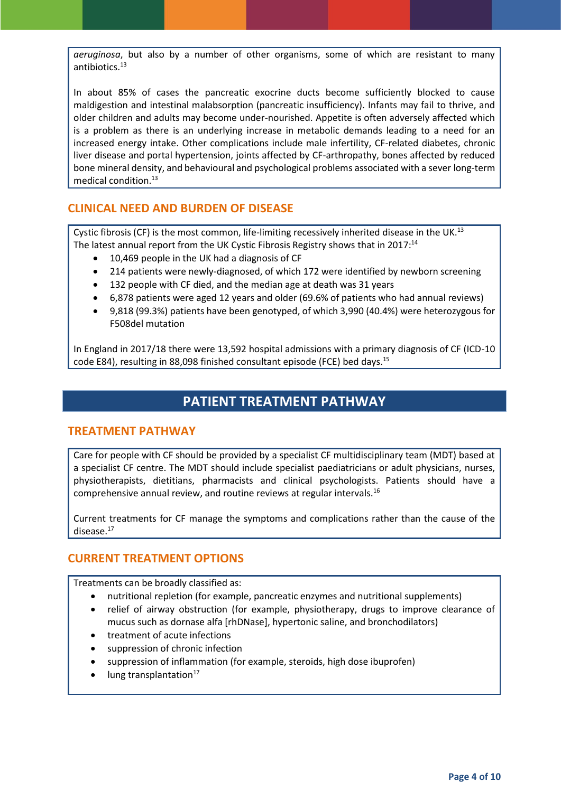*aeruginosa*, but also by a number of other organisms, some of which are resistant to many antibiotics.<sup>13</sup>

In about 85% of cases the pancreatic exocrine ducts become sufficiently blocked to cause maldigestion and intestinal malabsorption (pancreatic insufficiency). Infants may fail to thrive, and older children and adults may become under-nourished. Appetite is often adversely affected which is a problem as there is an underlying increase in metabolic demands leading to a need for an increased energy intake. Other complications include male infertility, CF-related diabetes, chronic liver disease and portal hypertension, joints affected by CF-arthropathy, bones affected by reduced bone mineral density, and behavioural and psychological problems associated with a sever long-term medical condition.<sup>13</sup>

### **CLINICAL NEED AND BURDEN OF DISEASE**

Cystic fibrosis (CF) is the most common, life-limiting recessively inherited disease in the UK.<sup>13</sup> The latest annual report from the UK Cystic Fibrosis Registry shows that in 2017:<sup>14</sup>

- 10,469 people in the UK had a diagnosis of CF
- 214 patients were newly-diagnosed, of which 172 were identified by newborn screening
- 132 people with CF died, and the median age at death was 31 years
- 6,878 patients were aged 12 years and older (69.6% of patients who had annual reviews)
- 9,818 (99.3%) patients have been genotyped, of which 3,990 (40.4%) were heterozygous for F508del mutation

In England in 2017/18 there were 13,592 hospital admissions with a primary diagnosis of CF (ICD-10 code E84), resulting in 88,098 finished consultant episode (FCE) bed days.<sup>15</sup>

# **PATIENT TREATMENT PATHWAY**

#### **TREATMENT PATHWAY**

Care for people with CF should be provided by a specialist CF multidisciplinary team (MDT) based at a specialist CF centre. The MDT should include specialist paediatricians or adult physicians, nurses, physiotherapists, dietitians, pharmacists and clinical psychologists. Patients should have a comprehensive annual review, and routine reviews at regular intervals.<sup>16</sup>

Current treatments for CF manage the symptoms and complications rather than the cause of the disease. 17

### **CURRENT TREATMENT OPTIONS**

Treatments can be broadly classified as:

- nutritional repletion (for example, pancreatic enzymes and nutritional supplements)
- relief of airway obstruction (for example, physiotherapy, drugs to improve clearance of mucus such as dornase alfa [rhDNase], hypertonic saline, and bronchodilators)
- treatment of acute infections
- suppression of chronic infection
- suppression of inflammation (for example, steroids, high dose ibuprofen)
- lung transplantation $17$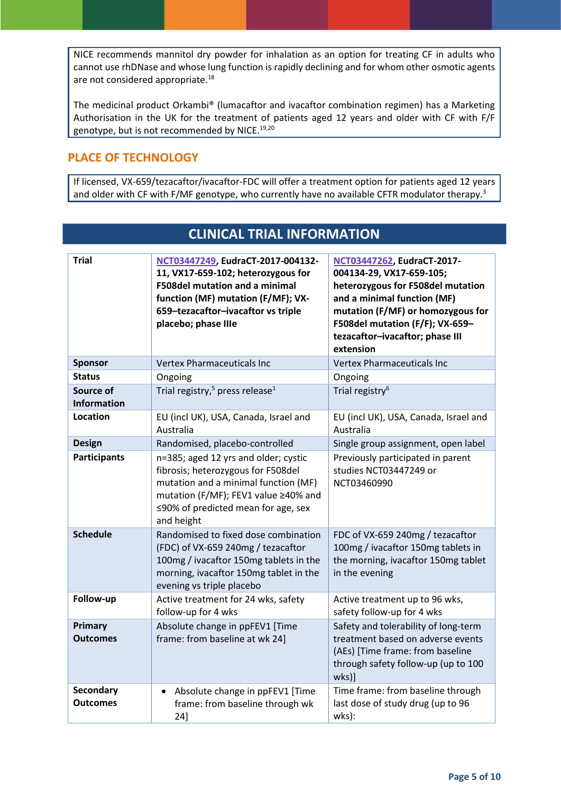NICE recommends mannitol dry powder for inhalation as an option for treating CF in adults who cannot use rhDNase and whose lung function is rapidly declining and for whom other osmotic agents are not considered appropriate.<sup>18</sup>

The medicinal product Orkambi® (lumacaftor and ivacaftor combination regimen) has a Marketing Authorisation in the UK for the treatment of patients aged 12 years and older with CF with F/F genotype, but is not recommended by NICE.<sup>19,20</sup>

### **PLACE OF TECHNOLOGY**

If licensed, VX-659/tezacaftor/ivacaftor-FDC will offer a treatment option for patients aged 12 years and older with CF with F/MF genotype, who currently have no available CFTR modulator therapy.<sup>3</sup>

**CLINICAL TRIAL INFORMATION**

| <b>Trial</b>                    | NCT03447249, EudraCT-2017-004132-<br>11, VX17-659-102; heterozygous for<br><b>F508del mutation and a minimal</b><br>function (MF) mutation (F/MF); VX-<br>659-tezacaftor-ivacaftor vs triple<br>placebo; phase IIIe   | NCT03447262, EudraCT-2017-<br>004134-29, VX17-659-105;<br>heterozygous for F508del mutation<br>and a minimal function (MF)<br>mutation (F/MF) or homozygous for<br>F508del mutation (F/F); VX-659-<br>tezacaftor-ivacaftor; phase III<br>extension |
|---------------------------------|-----------------------------------------------------------------------------------------------------------------------------------------------------------------------------------------------------------------------|----------------------------------------------------------------------------------------------------------------------------------------------------------------------------------------------------------------------------------------------------|
| <b>Sponsor</b>                  | <b>Vertex Pharmaceuticals Inc</b>                                                                                                                                                                                     | <b>Vertex Pharmaceuticals Inc</b>                                                                                                                                                                                                                  |
| <b>Status</b>                   | Ongoing                                                                                                                                                                                                               | Ongoing                                                                                                                                                                                                                                            |
| Source of<br><b>Information</b> | Trial registry, <sup>5</sup> press release <sup>1</sup>                                                                                                                                                               | Trial registry <sup>6</sup>                                                                                                                                                                                                                        |
| Location                        | EU (incl UK), USA, Canada, Israel and<br>Australia                                                                                                                                                                    | EU (incl UK), USA, Canada, Israel and<br>Australia                                                                                                                                                                                                 |
| <b>Design</b>                   | Randomised, placebo-controlled                                                                                                                                                                                        | Single group assignment, open label                                                                                                                                                                                                                |
| <b>Participants</b>             | n=385; aged 12 yrs and older; cystic<br>fibrosis; heterozygous for F508del<br>mutation and a minimal function (MF)<br>mutation (F/MF); FEV1 value ≥40% and<br>$\leq$ 90% of predicted mean for age, sex<br>and height | Previously participated in parent<br>studies NCT03447249 or<br>NCT03460990                                                                                                                                                                         |
| <b>Schedule</b>                 | Randomised to fixed dose combination<br>(FDC) of VX-659 240mg / tezacaftor<br>100mg / ivacaftor 150mg tablets in the<br>morning, ivacaftor 150mg tablet in the<br>evening vs triple placebo                           | FDC of VX-659 240mg / tezacaftor<br>100mg / ivacaftor 150mg tablets in<br>the morning, ivacaftor 150mg tablet<br>in the evening                                                                                                                    |
| Follow-up                       | Active treatment for 24 wks, safety<br>follow-up for 4 wks                                                                                                                                                            | Active treatment up to 96 wks,<br>safety follow-up for 4 wks                                                                                                                                                                                       |
| Primary<br><b>Outcomes</b>      | Absolute change in ppFEV1 [Time<br>frame: from baseline at wk 24]                                                                                                                                                     | Safety and tolerability of long-term<br>treatment based on adverse events<br>(AEs) [Time frame: from baseline<br>through safety follow-up (up to 100<br>wks)]                                                                                      |
| Secondary<br><b>Outcomes</b>    | Absolute change in ppFEV1 [Time<br>$\bullet$<br>frame: from baseline through wk<br>24]                                                                                                                                | Time frame: from baseline through<br>last dose of study drug (up to 96<br>wks):                                                                                                                                                                    |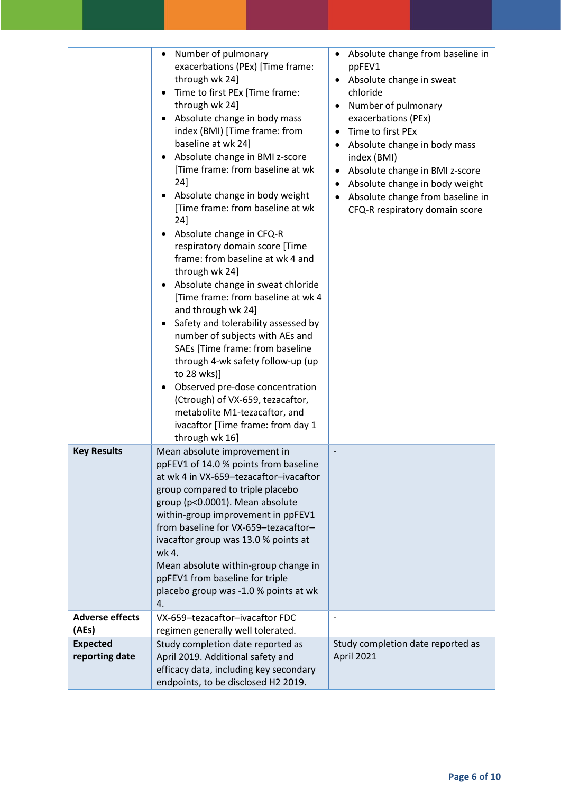|                                   | Number of pulmonary<br>$\bullet$<br>exacerbations (PEx) [Time frame:<br>through wk 24]<br>Time to first PEx [Time frame:<br>$\bullet$<br>through wk 24]<br>Absolute change in body mass<br>$\bullet$<br>index (BMI) [Time frame: from<br>baseline at wk 24]<br>Absolute change in BMI z-score<br>$\bullet$<br>[Time frame: from baseline at wk<br>24]<br>Absolute change in body weight<br>[Time frame: from baseline at wk<br>24]<br>Absolute change in CFQ-R<br>٠<br>respiratory domain score [Time<br>frame: from baseline at wk 4 and<br>through wk 24]<br>Absolute change in sweat chloride<br>$\bullet$<br>[Time frame: from baseline at wk 4<br>and through wk 24]<br>Safety and tolerability assessed by<br>٠<br>number of subjects with AEs and<br>SAEs [Time frame: from baseline<br>through 4-wk safety follow-up (up<br>to 28 wks)]<br>Observed pre-dose concentration<br>(Ctrough) of VX-659, tezacaftor,<br>metabolite M1-tezacaftor, and<br>ivacaftor [Time frame: from day 1<br>through wk 16] | Absolute change from baseline in<br>$\bullet$<br>ppFEV1<br>Absolute change in sweat<br>$\bullet$<br>chloride<br>Number of pulmonary<br>$\bullet$<br>exacerbations (PEx)<br>Time to first PEx<br>$\bullet$<br>Absolute change in body mass<br>٠<br>index (BMI)<br>Absolute change in BMI z-score<br>$\bullet$<br>Absolute change in body weight<br>$\bullet$<br>Absolute change from baseline in<br>$\bullet$<br>CFQ-R respiratory domain score |
|-----------------------------------|----------------------------------------------------------------------------------------------------------------------------------------------------------------------------------------------------------------------------------------------------------------------------------------------------------------------------------------------------------------------------------------------------------------------------------------------------------------------------------------------------------------------------------------------------------------------------------------------------------------------------------------------------------------------------------------------------------------------------------------------------------------------------------------------------------------------------------------------------------------------------------------------------------------------------------------------------------------------------------------------------------------|------------------------------------------------------------------------------------------------------------------------------------------------------------------------------------------------------------------------------------------------------------------------------------------------------------------------------------------------------------------------------------------------------------------------------------------------|
| <b>Key Results</b>                | Mean absolute improvement in<br>ppFEV1 of 14.0 % points from baseline<br>at wk 4 in VX-659-tezacaftor-ivacaftor<br>group compared to triple placebo<br>group (p<0.0001). Mean absolute<br>within-group improvement in ppFEV1<br>from baseline for VX-659-tezacaftor-<br>ivacaftor group was 13.0 % points at<br>wk 4.<br>Mean absolute within-group change in<br>ppFEV1 from baseline for triple<br>placebo group was -1.0 % points at wk<br>4.                                                                                                                                                                                                                                                                                                                                                                                                                                                                                                                                                                |                                                                                                                                                                                                                                                                                                                                                                                                                                                |
| <b>Adverse effects</b>            | VX-659-tezacaftor-ivacaftor FDC                                                                                                                                                                                                                                                                                                                                                                                                                                                                                                                                                                                                                                                                                                                                                                                                                                                                                                                                                                                |                                                                                                                                                                                                                                                                                                                                                                                                                                                |
| (AEs)                             | regimen generally well tolerated.                                                                                                                                                                                                                                                                                                                                                                                                                                                                                                                                                                                                                                                                                                                                                                                                                                                                                                                                                                              |                                                                                                                                                                                                                                                                                                                                                                                                                                                |
| <b>Expected</b><br>reporting date | Study completion date reported as<br>April 2019. Additional safety and<br>efficacy data, including key secondary<br>endpoints, to be disclosed H2 2019.                                                                                                                                                                                                                                                                                                                                                                                                                                                                                                                                                                                                                                                                                                                                                                                                                                                        | Study completion date reported as<br>April 2021                                                                                                                                                                                                                                                                                                                                                                                                |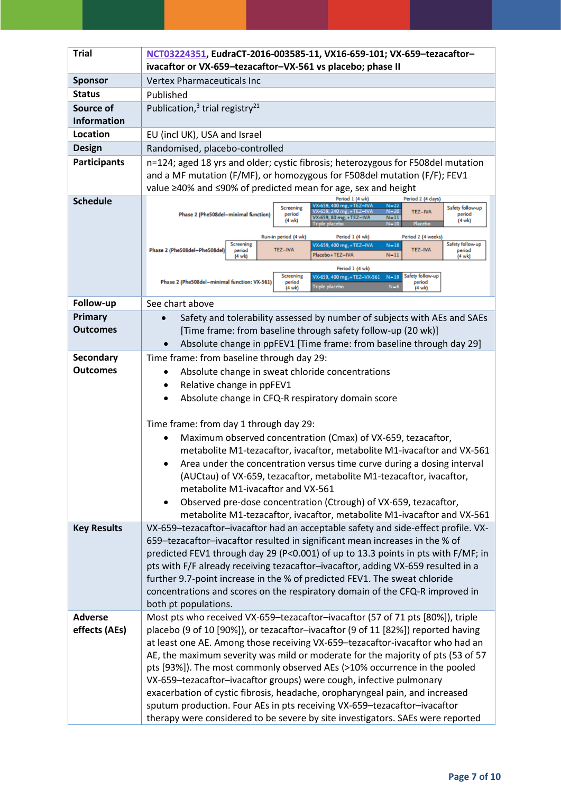| <b>Trial</b>                    | NCT03224351, EudraCT-2016-003585-11, VX16-659-101; VX-659-tezacaftor-<br>ivacaftor or VX-659-tezacaftor-VX-561 vs placebo; phase II                                                                                                                                                                                                            |
|---------------------------------|------------------------------------------------------------------------------------------------------------------------------------------------------------------------------------------------------------------------------------------------------------------------------------------------------------------------------------------------|
| <b>Sponsor</b>                  | <b>Vertex Pharmaceuticals Inc</b>                                                                                                                                                                                                                                                                                                              |
| <b>Status</b>                   | Published                                                                                                                                                                                                                                                                                                                                      |
| Source of<br><b>Information</b> | Publication, <sup>3</sup> trial registry <sup>21</sup>                                                                                                                                                                                                                                                                                         |
| Location                        | EU (incl UK), USA and Israel                                                                                                                                                                                                                                                                                                                   |
| <b>Design</b>                   | Randomised, placebo-controlled                                                                                                                                                                                                                                                                                                                 |
| <b>Participants</b>             | n=124; aged 18 yrs and older; cystic fibrosis; heterozygous for F508del mutation<br>and a MF mutation (F/MF), or homozygous for F508del mutation (F/F); FEV1<br>value ≥40% and ≤90% of predicted mean for age, sex and height                                                                                                                  |
| <b>Schedule</b>                 | Period 1 (4 wk)<br>Period 2 (4 days)<br>/X-659, 400 mg, +TEZ-IVA<br>$N = 22$<br>Safety follow-up<br><b>Screening</b><br>$N = 20$<br>VX-659, 240 mg, +TEZ-IVA<br>TEZ-IVA<br>Phase 2 (Phe508del-minimal function)<br>period<br>period<br>VX-659, 80 mg, +TEZ-IVA<br>$N-11$<br>(4 wk)<br>$(4 \text{ wk})$<br>Triple placebo<br>$N - 10$<br>Placeb |
|                                 | Run-in period (4 wk)<br>Period 1 (4 wk)<br>Period 2 (4 weeks)<br>Safety follow-up<br>Screening<br>VX-659, 400 mg, +TEZ-IVA<br>$N-18$<br>Phase 2 (Phe508del-Phe508del)<br>TEZ-IVA<br><b>TEZ-IVA</b><br>period<br>period<br>Placebo+TEZ-IVA<br>$N-11$<br>(4 wk)<br>(4 wk)                                                                        |
|                                 | Period 1 (4 wk)<br>Safety follow-up<br>Screening<br>VX-659, 400 mg, +TEZ-VX-561<br>$N-19$<br>Phase 2 (Phe508del-minimal function: VX-561)<br>period<br>period<br><b>Triple placebo</b><br>$N=6$<br>$(4 \text{ wk})$<br>(4 wk)                                                                                                                  |
| Follow-up                       | See chart above                                                                                                                                                                                                                                                                                                                                |
| Primary<br>Outcomes             | Safety and tolerability assessed by number of subjects with AEs and SAEs<br>[Time frame: from baseline through safety follow-up (20 wk)]<br>Absolute change in ppFEV1 [Time frame: from baseline through day 29]                                                                                                                               |
| <b>Secondary</b>                | Time frame: from baseline through day 29:                                                                                                                                                                                                                                                                                                      |
| <b>Outcomes</b>                 | Absolute change in sweat chloride concentrations                                                                                                                                                                                                                                                                                               |
|                                 | Relative change in ppFEV1<br>٠                                                                                                                                                                                                                                                                                                                 |
|                                 | Absolute change in CFQ-R respiratory domain score                                                                                                                                                                                                                                                                                              |
|                                 |                                                                                                                                                                                                                                                                                                                                                |
|                                 | Time frame: from day 1 through day 29:                                                                                                                                                                                                                                                                                                         |
|                                 | Maximum observed concentration (Cmax) of VX-659, tezacaftor,                                                                                                                                                                                                                                                                                   |
|                                 | metabolite M1-tezacaftor, ivacaftor, metabolite M1-ivacaftor and VX-561                                                                                                                                                                                                                                                                        |
|                                 | Area under the concentration versus time curve during a dosing interval<br>(AUCtau) of VX-659, tezacaftor, metabolite M1-tezacaftor, ivacaftor,                                                                                                                                                                                                |
|                                 | metabolite M1-ivacaftor and VX-561                                                                                                                                                                                                                                                                                                             |
|                                 | Observed pre-dose concentration (Ctrough) of VX-659, tezacaftor,<br>$\bullet$                                                                                                                                                                                                                                                                  |
|                                 | metabolite M1-tezacaftor, ivacaftor, metabolite M1-ivacaftor and VX-561                                                                                                                                                                                                                                                                        |
| <b>Key Results</b>              | VX-659-tezacaftor-ivacaftor had an acceptable safety and side-effect profile. VX-                                                                                                                                                                                                                                                              |
|                                 | 659-tezacaftor-ivacaftor resulted in significant mean increases in the % of                                                                                                                                                                                                                                                                    |
|                                 | predicted FEV1 through day 29 (P<0.001) of up to 13.3 points in pts with F/MF; in<br>pts with F/F already receiving tezacaftor-ivacaftor, adding VX-659 resulted in a                                                                                                                                                                          |
|                                 | further 9.7-point increase in the % of predicted FEV1. The sweat chloride                                                                                                                                                                                                                                                                      |
|                                 | concentrations and scores on the respiratory domain of the CFQ-R improved in                                                                                                                                                                                                                                                                   |
|                                 | both pt populations.                                                                                                                                                                                                                                                                                                                           |
| <b>Adverse</b>                  | Most pts who received VX-659-tezacaftor-ivacaftor (57 of 71 pts [80%]), triple                                                                                                                                                                                                                                                                 |
| effects (AEs)                   | placebo (9 of 10 [90%]), or tezacaftor-ivacaftor (9 of 11 [82%]) reported having                                                                                                                                                                                                                                                               |
|                                 | at least one AE. Among those receiving VX-659-tezacaftor-ivacaftor who had an<br>AE, the maximum severity was mild or moderate for the majority of pts (53 of 57                                                                                                                                                                               |
|                                 | pts [93%]). The most commonly observed AEs (>10% occurrence in the pooled                                                                                                                                                                                                                                                                      |
|                                 | VX-659-tezacaftor-ivacaftor groups) were cough, infective pulmonary                                                                                                                                                                                                                                                                            |
|                                 | exacerbation of cystic fibrosis, headache, oropharyngeal pain, and increased                                                                                                                                                                                                                                                                   |
|                                 | sputum production. Four AEs in pts receiving VX-659-tezacaftor-ivacaftor                                                                                                                                                                                                                                                                       |
|                                 | therapy were considered to be severe by site investigators. SAEs were reported                                                                                                                                                                                                                                                                 |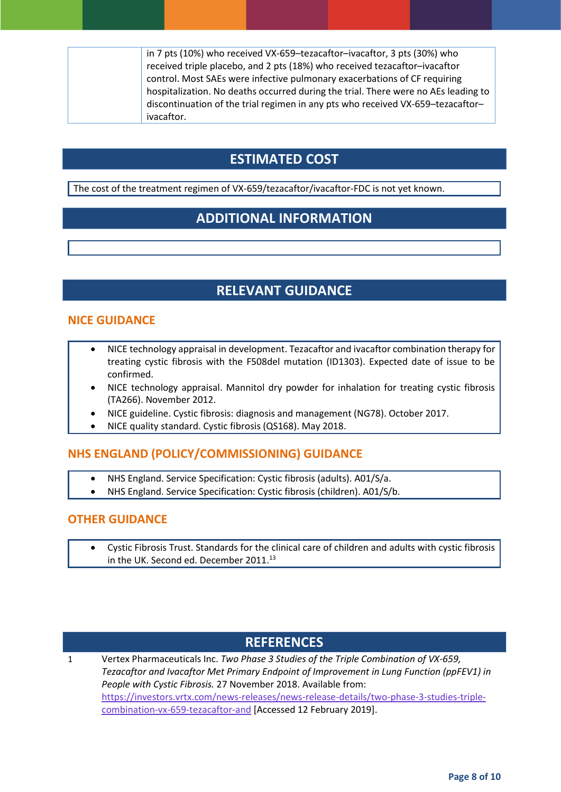| in 7 pts (10%) who received VX-659-tezacaftor-ivacaftor, 3 pts (30%) who           |
|------------------------------------------------------------------------------------|
| received triple placebo, and 2 pts (18%) who received tezacaftor-ivacaftor         |
| control. Most SAEs were infective pulmonary exacerbations of CF requiring          |
| hospitalization. No deaths occurred during the trial. There were no AEs leading to |
| discontinuation of the trial regimen in any pts who received VX-659-tezacaftor-    |
| ivacaftor.                                                                         |

# **ESTIMATED COST**

The cost of the treatment regimen of VX-659/tezacaftor/ivacaftor-FDC is not yet known.

# **ADDITIONAL INFORMATION**

# **RELEVANT GUIDANCE**

### **NICE GUIDANCE**

- NICE technology appraisal in development. Tezacaftor and ivacaftor combination therapy for treating cystic fibrosis with the F508del mutation (ID1303). Expected date of issue to be confirmed.
- NICE technology appraisal. Mannitol dry powder for inhalation for treating cystic fibrosis (TA266). November 2012.
- NICE guideline. Cystic fibrosis: diagnosis and management (NG78). October 2017.
- NICE quality standard. Cystic fibrosis (QS168). May 2018.

### **NHS ENGLAND (POLICY/COMMISSIONING) GUIDANCE**

- NHS England. Service Specification: Cystic fibrosis (adults). A01/S/a.
- NHS England. Service Specification: Cystic fibrosis (children). A01/S/b.

#### **OTHER GUIDANCE**

 Cystic Fibrosis Trust. Standards for the clinical care of children and adults with cystic fibrosis in the UK. Second ed. December 2011.<sup>13</sup>

# **REFERENCES**

1 Vertex Pharmaceuticals Inc. *Two Phase 3 Studies of the Triple Combination of VX-659, Tezacaftor and Ivacaftor Met Primary Endpoint of Improvement in Lung Function (ppFEV1) in People with Cystic Fibrosis.* 27 November 2018. Available from: [https://investors.vrtx.com/news-releases/news-release-details/two-phase-3-studies-triple](https://investors.vrtx.com/news-releases/news-release-details/two-phase-3-studies-triple-combination-vx-659-tezacaftor-and)[combination-vx-659-tezacaftor-and](https://investors.vrtx.com/news-releases/news-release-details/two-phase-3-studies-triple-combination-vx-659-tezacaftor-and) [Accessed 12 February 2019].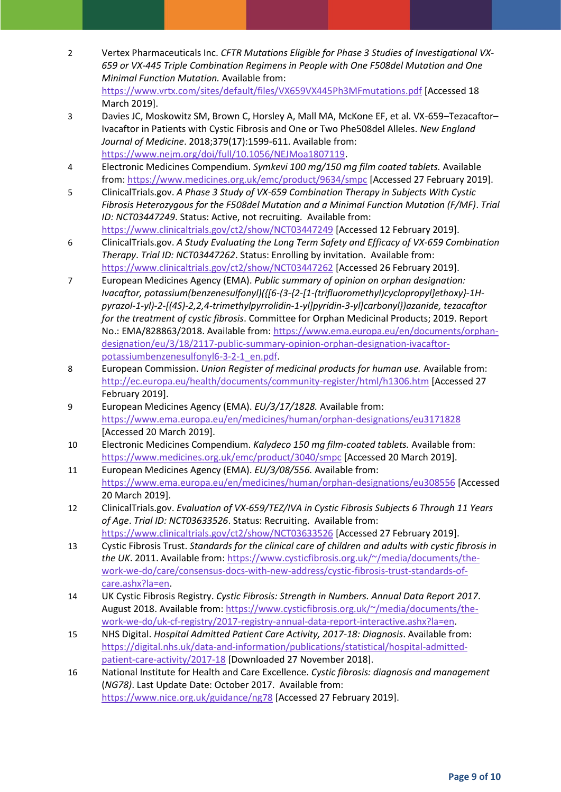- 2 Vertex Pharmaceuticals Inc. *CFTR Mutations Eligible for Phase 3 Studies of Investigational VX-659 or VX-445 Triple Combination Regimens in People with One F508del Mutation and One Minimal Function Mutation.* Available from: <https://www.vrtx.com/sites/default/files/VX659VX445Ph3MFmutations.pdf> [Accessed 18 March 2019].
- 3 Davies JC, Moskowitz SM, Brown C, Horsley A, Mall MA, McKone EF, et al. VX-659–Tezacaftor– Ivacaftor in Patients with Cystic Fibrosis and One or Two Phe508del Alleles. *New England Journal of Medicine*. 2018;379(17):1599-611. Available from: [https://www.nejm.org/doi/full/10.1056/NEJMoa1807119.](https://www.nejm.org/doi/full/10.1056/NEJMoa1807119)
- 4 Electronic Medicines Compendium. *Symkevi 100 mg/150 mg film coated tablets.* Available from:<https://www.medicines.org.uk/emc/product/9634/smpc> [Accessed 27 February 2019].
- 5 ClinicalTrials.gov. *A Phase 3 Study of VX-659 Combination Therapy in Subjects With Cystic Fibrosis Heterozygous for the F508del Mutation and a Minimal Function Mutation (F/MF)*. *Trial ID: NCT03447249*. Status: Active, not recruiting. Available from: <https://www.clinicaltrials.gov/ct2/show/NCT03447249> [Accessed 12 February 2019].
- 6 ClinicalTrials.gov. *A Study Evaluating the Long Term Safety and Efficacy of VX-659 Combination Therapy*. *Trial ID: NCT03447262*. Status: Enrolling by invitation. Available from: <https://www.clinicaltrials.gov/ct2/show/NCT03447262> [Accessed 26 February 2019].
- 7 European Medicines Agency (EMA). *Public summary of opinion on orphan designation: Ivacaftor, potassium(benzenesulfonyl)({[6-(3-{2-[1-(trifluoromethyl)cyclopropyl]ethoxy}-1Hpyrazol-1-yl)-2-[(4S)-2,2,4-trimethylpyrrolidin-1-yl]pyridin-3-yl]carbonyl})azanide, tezacaftor for the treatment of cystic fibrosis*. Committee for Orphan Medicinal Products; 2019. Report No.: EMA/828863/2018. Available from: [https://www.ema.europa.eu/en/documents/orphan](https://www.ema.europa.eu/en/documents/orphan-designation/eu/3/18/2117-public-summary-opinion-orphan-designation-ivacaftor-potassiumbenzenesulfonyl6-3-2-1_en.pdf)[designation/eu/3/18/2117-public-summary-opinion-orphan-designation-ivacaftor](https://www.ema.europa.eu/en/documents/orphan-designation/eu/3/18/2117-public-summary-opinion-orphan-designation-ivacaftor-potassiumbenzenesulfonyl6-3-2-1_en.pdf)[potassiumbenzenesulfonyl6-3-2-1\\_en.pdf.](https://www.ema.europa.eu/en/documents/orphan-designation/eu/3/18/2117-public-summary-opinion-orphan-designation-ivacaftor-potassiumbenzenesulfonyl6-3-2-1_en.pdf)
- 8 European Commission. *Union Register of medicinal products for human use.* Available from: <http://ec.europa.eu/health/documents/community-register/html/h1306.htm> [Accessed 27 February 2019].
- 9 European Medicines Agency (EMA). *EU/3/17/1828.* Available from: <https://www.ema.europa.eu/en/medicines/human/orphan-designations/eu3171828> [Accessed 20 March 2019].
- 10 Electronic Medicines Compendium. *Kalydeco 150 mg film-coated tablets.* Available from: <https://www.medicines.org.uk/emc/product/3040/smpc> [Accessed 20 March 2019].
- 11 European Medicines Agency (EMA). *EU/3/08/556.* Available from: <https://www.ema.europa.eu/en/medicines/human/orphan-designations/eu308556> [Accessed 20 March 2019].
- 12 ClinicalTrials.gov. *Evaluation of VX-659/TEZ/IVA in Cystic Fibrosis Subjects 6 Through 11 Years of Age*. *Trial ID: NCT03633526*. Status: Recruiting. Available from: <https://www.clinicaltrials.gov/ct2/show/NCT03633526> [Accessed 27 February 2019].
- 13 Cystic Fibrosis Trust. *Standards for the clinical care of children and adults with cystic fibrosis in the UK*. 2011. Available from: [https://www.cysticfibrosis.org.uk/~/media/documents/the](https://www.cysticfibrosis.org.uk/~/media/documents/the-work-we-do/care/consensus-docs-with-new-address/cystic-fibrosis-trust-standards-of-care.ashx?la=en)[work-we-do/care/consensus-docs-with-new-address/cystic-fibrosis-trust-standards-of](https://www.cysticfibrosis.org.uk/~/media/documents/the-work-we-do/care/consensus-docs-with-new-address/cystic-fibrosis-trust-standards-of-care.ashx?la=en)[care.ashx?la=en.](https://www.cysticfibrosis.org.uk/~/media/documents/the-work-we-do/care/consensus-docs-with-new-address/cystic-fibrosis-trust-standards-of-care.ashx?la=en)
- 14 UK Cystic Fibrosis Registry. *Cystic Fibrosis: Strength in Numbers. Annual Data Report 2017*. August 2018. Available from[: https://www.cysticfibrosis.org.uk/~/media/documents/the](https://www.cysticfibrosis.org.uk/~/media/documents/the-work-we-do/uk-cf-registry/2017-registry-annual-data-report-interactive.ashx?la=en)[work-we-do/uk-cf-registry/2017-registry-annual-data-report-interactive.ashx?la=en.](https://www.cysticfibrosis.org.uk/~/media/documents/the-work-we-do/uk-cf-registry/2017-registry-annual-data-report-interactive.ashx?la=en)
- 15 NHS Digital. *Hospital Admitted Patient Care Activity, 2017-18: Diagnosis*. Available from: [https://digital.nhs.uk/data-and-information/publications/statistical/hospital-admitted](https://digital.nhs.uk/data-and-information/publications/statistical/hospital-admitted-patient-care-activity/2017-18)[patient-care-activity/2017-18](https://digital.nhs.uk/data-and-information/publications/statistical/hospital-admitted-patient-care-activity/2017-18) [Downloaded 27 November 2018].
- 16 National Institute for Health and Care Excellence. *Cystic fibrosis: diagnosis and management* (*NG78)*. Last Update Date: October 2017. Available from: <https://www.nice.org.uk/guidance/ng78> [Accessed 27 February 2019].